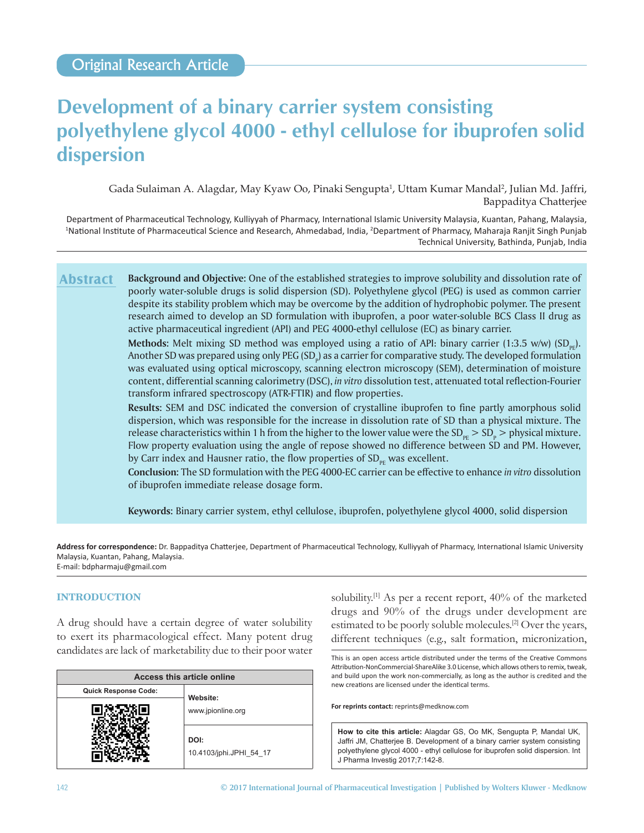# **Development of a binary carrier system consisting polyethylene glycol 4000 ‑ ethyl cellulose for ibuprofen solid dispersion**

Gada Sulaiman A. Alagdar, May Kyaw Oo, Pinaki Sengupta<sup>1</sup>, Uttam Kumar Mandal<sup>2</sup>, Julian Md. Jaffri, Bappaditya Chatterjee

Department of Pharmaceutical Technology, Kulliyyah of Pharmacy, International Islamic University Malaysia, Kuantan, Pahang, Malaysia, <sup>1</sup>National Institute of Pharmaceutical Science and Research, Ahmedabad, India, <sup>2</sup>Department of Pharmacy, Maharaja Ranjit Singh Punjab Technical University, Bathinda, Punjab, India

**Background and Objective:** One of the established strategies to improve solubility and dissolution rate of poorly water‑soluble drugs is solid dispersion (SD). Polyethylene glycol (PEG) is used as common carrier despite its stability problem which may be overcome by the addition of hydrophobic polymer. The present research aimed to develop an SD formulation with ibuprofen, a poor water‑soluble BCS Class II drug as active pharmaceutical ingredient (API) and PEG 4000‑ethyl cellulose (EC) as binary carrier. **Abstract**

**Methods:** Melt mixing SD method was employed using a ratio of API: binary carrier  $(1:3.5 \text{ w/w})$  (SD<sub>nr</sub>). Another SD was prepared using only PEG (SD<sub>p</sub>) as a carrier for comparative study. The developed formulation was evaluated using optical microscopy, scanning electron microscopy (SEM), determination of moisture content, differential scanning calorimetry (DSC), *in vitro* dissolution test, attenuated total reflection‑Fourier transform infrared spectroscopy (ATR‑FTIR) and flow properties.

**Results:** SEM and DSC indicated the conversion of crystalline ibuprofen to fine partly amorphous solid dispersion, which was responsible for the increase in dissolution rate of SD than a physical mixture. The release characteristics within 1 h from the higher to the lower value were the  $SD_{p_F} > SD_p$  > physical mixture. Flow property evaluation using the angle of repose showed no difference between SD and PM. However, by Carr index and Hausner ratio, the flow properties of  $SD_{\text{pr}}$  was excellent.

**Conclusion:** The SD formulation with the PEG 4000‑EC carrier can be effective to enhance *in vitro* dissolution of ibuprofen immediate release dosage form.

**Keywords:** Binary carrier system, ethyl cellulose, ibuprofen, polyethylene glycol 4000, solid dispersion

**Address for correspondence:** Dr. Bappaditya Chatterjee, Department of Pharmaceutical Technology, Kulliyyah of Pharmacy, International Islamic University Malaysia, Kuantan, Pahang, Malaysia. E‑mail: bdpharmaju@gmail.com

# **INTRODUCTION**

A drug should have a certain degree of water solubility to exert its pharmacological effect. Many potent drug candidates are lack of marketability due to their poor water

| Access this article online  |                                 |  |  |
|-----------------------------|---------------------------------|--|--|
| <b>Quick Response Code:</b> | Website:<br>www.jpionline.org   |  |  |
|                             |                                 |  |  |
|                             | DOI:<br>10.4103/jphi.JPHI 54 17 |  |  |

solubility.[1] As per a recent report, 40% of the marketed drugs and 90% of the drugs under development are estimated to be poorly soluble molecules.<sup>[2]</sup> Over the years, different techniques (e.g., salt formation, micronization,

This is an open access article distributed under the terms of the Creative Commons Attribution-NonCommercial-ShareAlike 3.0 License, which allows others to remix, tweak, and build upon the work non‑commercially, as long as the author is credited and the new creations are licensed under the identical terms.

**For reprints contact:** reprints@medknow.com

**How to cite this article:** Alagdar GS, Oo MK, Sengupta P, Mandal UK, Jaffri JM, Chatterjee B. Development of a binary carrier system consisting polyethylene glycol 4000 ‑ ethyl cellulose for ibuprofen solid dispersion. Int J Pharma Investig 2017;7:142-8.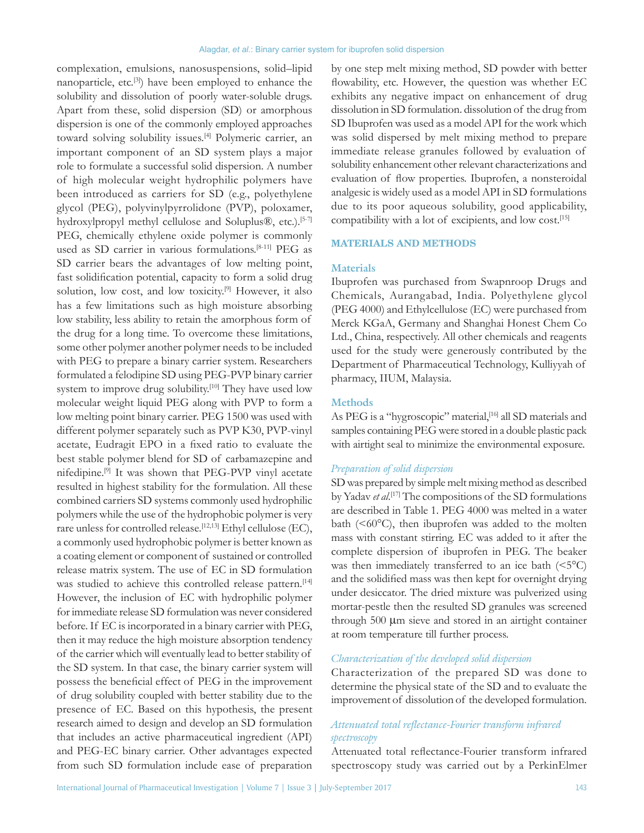complexation, emulsions, nanosuspensions, solid–lipid nanoparticle, etc.[3]) have been employed to enhance the solubility and dissolution of poorly water-soluble drugs. Apart from these, solid dispersion (SD) or amorphous dispersion is one of the commonly employed approaches toward solving solubility issues.<sup>[4]</sup> Polymeric carrier, an important component of an SD system plays a major role to formulate a successful solid dispersion. A number of high molecular weight hydrophilic polymers have been introduced as carriers for SD (e.g., polyethylene glycol (PEG), polyvinylpyrrolidone (PVP), poloxamer, hydroxylpropyl methyl cellulose and Soluplus®, etc.).<sup>[5-7]</sup> PEG, chemically ethylene oxide polymer is commonly used as SD carrier in various formulations.<sup>[8-11]</sup> PEG as SD carrier bears the advantages of low melting point, fast solidification potential, capacity to form a solid drug solution, low cost, and low toxicity.[9] However, it also has a few limitations such as high moisture absorbing low stability, less ability to retain the amorphous form of the drug for a long time. To overcome these limitations, some other polymer another polymer needs to be included with PEG to prepare a binary carrier system. Researchers formulated a felodipine SD using PEG‑PVP binary carrier system to improve drug solubility.<sup>[10]</sup> They have used low molecular weight liquid PEG along with PVP to form a low melting point binary carrier. PEG 1500 was used with different polymer separately such as PVP K30, PVP-vinyl acetate, Eudragit EPO in a fixed ratio to evaluate the best stable polymer blend for SD of carbamazepine and nifedipine.[9] It was shown that PEG‑PVP vinyl acetate resulted in highest stability for the formulation. All these combined carriers SD systems commonly used hydrophilic polymers while the use of the hydrophobic polymer is very rare unless for controlled release.<sup>[12,13]</sup> Ethyl cellulose (EC), a commonly used hydrophobic polymer is better known as a coating element or component of sustained or controlled release matrix system. The use of EC in SD formulation was studied to achieve this controlled release pattern.<sup>[14]</sup> However, the inclusion of EC with hydrophilic polymer for immediate release SD formulation was never considered before. If EC is incorporated in a binary carrier with PEG, then it may reduce the high moisture absorption tendency of the carrier which will eventually lead to better stability of the SD system. In that case, the binary carrier system will possess the beneficial effect of PEG in the improvement of drug solubility coupled with better stability due to the presence of EC. Based on this hypothesis, the present research aimed to design and develop an SD formulation that includes an active pharmaceutical ingredient (API) and PEG‑EC binary carrier. Other advantages expected from such SD formulation include ease of preparation

by one step melt mixing method, SD powder with better flowability, etc. However, the question was whether EC exhibits any negative impact on enhancement of drug dissolution in SD formulation. dissolution of the drug from SD Ibuprofen was used as a model API for the work which was solid dispersed by melt mixing method to prepare immediate release granules followed by evaluation of solubility enhancement other relevant characterizations and evaluation of flow properties. Ibuprofen, a nonsteroidal analgesic is widely used as a model API in SD formulations due to its poor aqueous solubility, good applicability, compatibility with a lot of excipients, and low cost.[15]

# **MATERIALS AND METHODS**

#### **Materials**

Ibuprofen was purchased from Swapnroop Drugs and Chemicals, Aurangabad, India. Polyethylene glycol (PEG 4000) and Ethylcellulose (EC) were purchased from Merck KGaA, Germany and Shanghai Honest Chem Co Ltd., China, respectively. All other chemicals and reagents used for the study were generously contributed by the Department of Pharmaceutical Technology, Kulliyyah of pharmacy, IIUM, Malaysia.

## **Methods**

As PEG is a "hygroscopic" material,<sup>[16]</sup> all SD materials and samples containing PEG were stored in a double plastic pack with airtight seal to minimize the environmental exposure.

#### *Preparation of solid dispersion*

SD was prepared by simple melt mixing method as described by Yadav *et al*. [17] The compositions of the SD formulations are described in Table 1. PEG 4000 was melted in a water bath  $( $60^{\circ}$ C)$ , then ibuprofen was added to the molten mass with constant stirring. EC was added to it after the complete dispersion of ibuprofen in PEG. The beaker was then immediately transferred to an ice bath  $(\leq 5^{\circ}C)$ and the solidified mass was then kept for overnight drying under desiccator. The dried mixture was pulverized using mortar‑pestle then the resulted SD granules was screened through 500 µm sieve and stored in an airtight container at room temperature till further process.

## *Characterization of the developed solid dispersion*

Characterization of the prepared SD was done to determine the physical state of the SD and to evaluate the improvement of dissolution of the developed formulation.

# *Attenuated total reflectance‑Fourier transform infrared spectroscopy*

Attenuated total reflectance‑Fourier transform infrared spectroscopy study was carried out by a PerkinElmer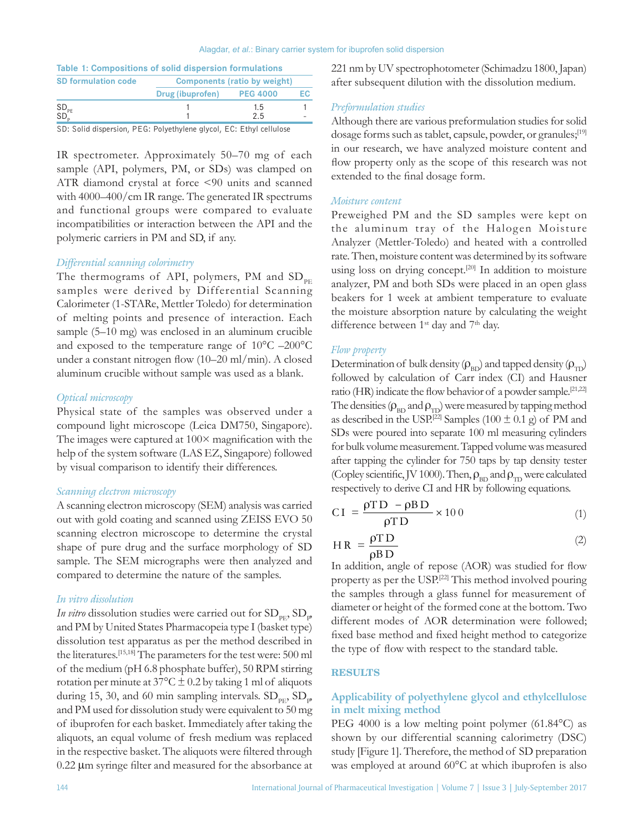#### Alagdar, *et al.*: Binary carrier system for ibuprofen solid dispersion

| Table 1: Compositions of solid dispersion formulations |                              |                 |    |  |
|--------------------------------------------------------|------------------------------|-----------------|----|--|
| <b>SD formulation code</b>                             | Components (ratio by weight) |                 |    |  |
|                                                        | Drug (ibuprofen)             | <b>PEG 4000</b> | EС |  |
|                                                        |                              | 1.5             |    |  |
| $SD_{PE}$<br>$SD_{p}$                                  |                              | 2.5             |    |  |
| 22.21                                                  |                              |                 |    |  |

SD: Solid dispersion, PEG: Polyethylene glycol, EC: Ethyl cellulose

IR spectrometer. Approximately 50–70 mg of each sample (API, polymers, PM, or SDs) was clamped on ATR diamond crystal at force <90 units and scanned with 4000–400/cm IR range. The generated IR spectrums and functional groups were compared to evaluate incompatibilities or interaction between the API and the polymeric carriers in PM and SD, if any.

#### *Differential scanning colorimetry*

The thermograms of API, polymers, PM and  $SD_{PE}$ samples were derived by Differential Scanning Calorimeter (1‑STARe, Mettler Toledo) for determination of melting points and presence of interaction. Each sample (5–10 mg) was enclosed in an aluminum crucible and exposed to the temperature range of 10°C –200°C under a constant nitrogen flow (10–20 ml/min). A closed aluminum crucible without sample was used as a blank.

#### *Optical microscopy*

Physical state of the samples was observed under a compound light microscope (Leica DM750, Singapore). The images were captured at  $100\times$  magnification with the help of the system software (LAS EZ, Singapore) followed by visual comparison to identify their differences.

#### *Scanning electron microscopy*

A scanning electron microscopy (SEM) analysis was carried out with gold coating and scanned using ZEISS EVO 50 scanning electron microscope to determine the crystal shape of pure drug and the surface morphology of SD sample. The SEM micrographs were then analyzed and compared to determine the nature of the samples.

#### *In vitro dissolution*

*In vitro* dissolution studies were carried out for  $\text{SD}_{\text{PE}}$ ,  $\text{SD}_{\text{p}}$ and PM by United States Pharmacopeia type I(basket type) dissolution test apparatus as per the method described in the literatures.[15,18] The parameters for the test were: 500 ml of the medium (pH 6.8 phosphate buffer), 50 RPM stirring rotation per minute at  $37^{\circ}$ C  $\pm$  0.2 by taking 1 ml of aliquots during 15, 30, and 60 min sampling intervals.  $SD_{\text{PE}}$ ,  $SD_{\text{p}}$ and PM used for dissolution study were equivalent to 50 mg of ibuprofen for each basket. Immediately after taking the aliquots, an equal volume of fresh medium was replaced in the respective basket. The aliquots were filtered through 0.22 µm syringe filter and measured for the absorbance at

221 nm by UV spectrophotometer(Schimadzu 1800, Japan) after subsequent dilution with the dissolution medium.

#### *Preformulation studies*

Although there are various preformulation studies for solid dosage forms such as tablet, capsule, powder, or granules;<sup>[19]</sup> in our research, we have analyzed moisture content and flow property only as the scope of this research was not extended to the final dosage form.

#### *Moisture content*

Preweighed PM and the SD samples were kept on the aluminum tray of the Halogen Moisture Analyzer (Mettler‑Toledo) and heated with a controlled rate. Then, moisture content was determined by its software using loss on drying concept.<sup>[20]</sup> In addition to moisture analyzer, PM and both SDs were placed in an open glass beakers for 1 week at ambient temperature to evaluate the moisture absorption nature by calculating the weight difference between  $1<sup>st</sup>$  day and  $7<sup>th</sup>$  day.

#### *Flow property*

Determination of bulk density  $(\rho_{BD})$  and tapped density  $(\rho_{TD})$ followed by calculation of Carr index (CI) and Hausner ratio (HR) indicate the flow behavior of a powder sample.<sup>[21,22]</sup> The densities ( $\rho_{BD}$  and  $\rho_{TD}$ ) were measured by tapping method as described in the USP.<sup>[22]</sup> Samples (100  $\pm$  0.1 g) of PM and SDs were poured into separate 100 ml measuring cylinders for bulk volume measurement. Tapped volume was measured after tapping the cylinder for 750 taps by tap density tester (Copley scientific, JV 1000). Then,  $\rho_{BD}$  and  $\rho_{TD}$  were calculated respectively to derive CI and HR by following equations.

$$
CI = \frac{\rho TD - \rho BD}{\rho TD} \times 100 \tag{1}
$$

$$
HR = \frac{\rho TD}{\rho BD}
$$
 (2)

In addition, angle of repose (AOR) was studied for flow property as per the USP.[22] This method involved pouring the samples through a glass funnel for measurement of diameter or height of the formed cone at the bottom. Two different modes of AOR determination were followed; fixed base method and fixed height method to categorize the type of flow with respect to the standard table.

#### **RESULTS**

# **Applicability of polyethylene glycol and ethylcellulose in melt mixing method**

PEG 4000 is a low melting point polymer (61.84°C) as shown by our differential scanning calorimetry (DSC) study [Figure 1]. Therefore, the method of SD preparation was employed at around 60°C at which ibuprofen is also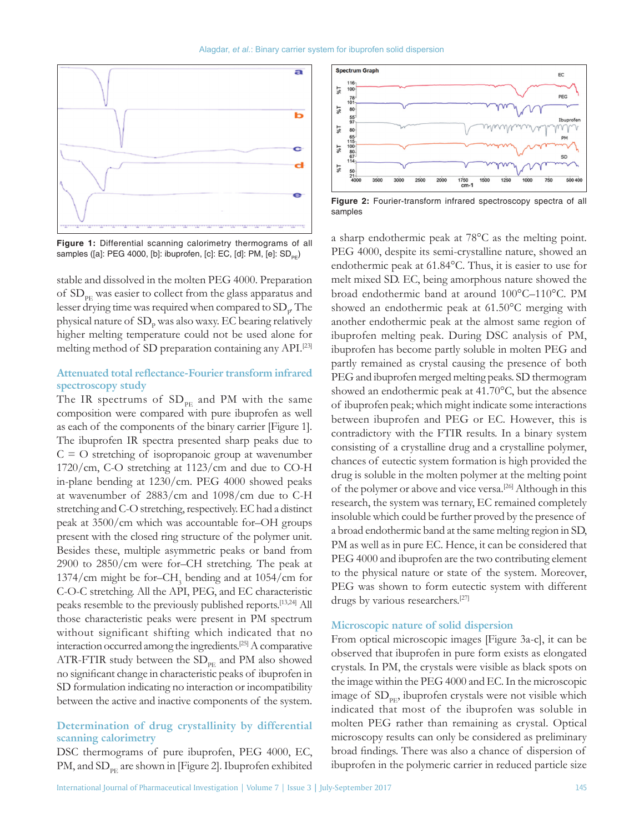Alagdar, *et al.*: Binary carrier system for ibuprofen solid dispersion



**Figure 1:** Differential scanning calorimetry thermograms of all samples ([a]: PEG 4000, [b]: ibuprofen, [c]: EC, [d]: PM, [e]: SD<sub>PF</sub>)

stable and dissolved in the molten PEG 4000. Preparation of SD<sub>PE</sub> was easier to collect from the glass apparatus and lesser drying time was required when compared to  $\mathrm{SD}_\mathrm{p}$  The physical nature of  ${\rm SD_p}$  was also waxy. EC bearing relatively higher melting temperature could not be used alone for melting method of SD preparation containing any API.[23]

# **Attenuated total reflectance‑Fourier transform infrared spectroscopy study**

The IR spectrums of  $SD_{PE}$  and PM with the same composition were compared with pure ibuprofen as well as each of the components of the binary carrier [Figure 1]. The ibuprofen IR spectra presented sharp peaks due to  $C = O$  stretching of isopropanoic group at wavenumber 1720/cm, C‑O stretching at 1123/cm and due to CO‑H in‑plane bending at 1230/cm. PEG 4000 showed peaks at wavenumber of 2883/cm and 1098/cm due to C‑H stretching and C‑O stretching, respectively. EC had a distinct peak at 3500/cm which was accountable for–OH groups present with the closed ring structure of the polymer unit. Besides these, multiple asymmetric peaks or band from 2900 to 2850/cm were for–CH stretching. The peak at 1374/cm might be for–CH<sub>3</sub> bending and at  $1054/cm$  for C‑O‑C stretching. All the API, PEG, and EC characteristic peaks resemble to the previously published reports.[13,24] All those characteristic peaks were present in PM spectrum without significant shifting which indicated that no interaction occurred among the ingredients.[25] A comparative ATR-FTIR study between the  $SD_{PE}$  and PM also showed no significant change in characteristic peaks of ibuprofen in SD formulation indicating no interaction or incompatibility between the active and inactive components of the system.

# **Determination of drug crystallinity by differential scanning calorimetry**

DSC thermograms of pure ibuprofen, PEG 4000, EC, PM, and  $SD_{\text{per}}$  are shown in [Figure 2]. Ibuprofen exhibited



Figure 2: Fourier-transform infrared spectroscopy spectra of all samples

a sharp endothermic peak at 78°C as the melting point. PEG 4000, despite its semi-crystalline nature, showed an endothermic peak at 61.84°C. Thus, it is easier to use for melt mixed SD. EC, being amorphous nature showed the broad endothermic band at around 100°C–110°C. PM showed an endothermic peak at 61.50°C merging with another endothermic peak at the almost same region of ibuprofen melting peak. During DSC analysis of PM, ibuprofen has become partly soluble in molten PEG and partly remained as crystal causing the presence of both PEG and ibuprofen merged melting peaks. SD thermogram showed an endothermic peak at 41.70°C, but the absence of ibuprofen peak; which might indicate some interactions between ibuprofen and PEG or EC. However, this is contradictory with the FTIR results. In a binary system consisting of a crystalline drug and a crystalline polymer, chances of eutectic system formation is high provided the drug is soluble in the molten polymer at the melting point of the polymer or above and vice versa.<sup>[26]</sup> Although in this research, the system was ternary, EC remained completely insoluble which could be further proved by the presence of a broad endothermic band at the same melting region in SD, PM as well as in pure EC. Hence, it can be considered that PEG 4000 and ibuprofen are the two contributing element to the physical nature or state of the system. Moreover, PEG was shown to form eutectic system with different drugs by various researchers.<sup>[27]</sup>

# **Microscopic nature of solid dispersion**

From optical microscopic images [Figure 3a‑c], it can be observed that ibuprofen in pure form exists as elongated crystals. In PM, the crystals were visible as black spots on the image within the PEG 4000 and EC. In the microscopic image of  $SD_{\text{PE}}$ , ibuprofen crystals were not visible which indicated that most of the ibuprofen was soluble in molten PEG rather than remaining as crystal. Optical microscopy results can only be considered as preliminary broad findings. There was also a chance of dispersion of ibuprofen in the polymeric carrier in reduced particle size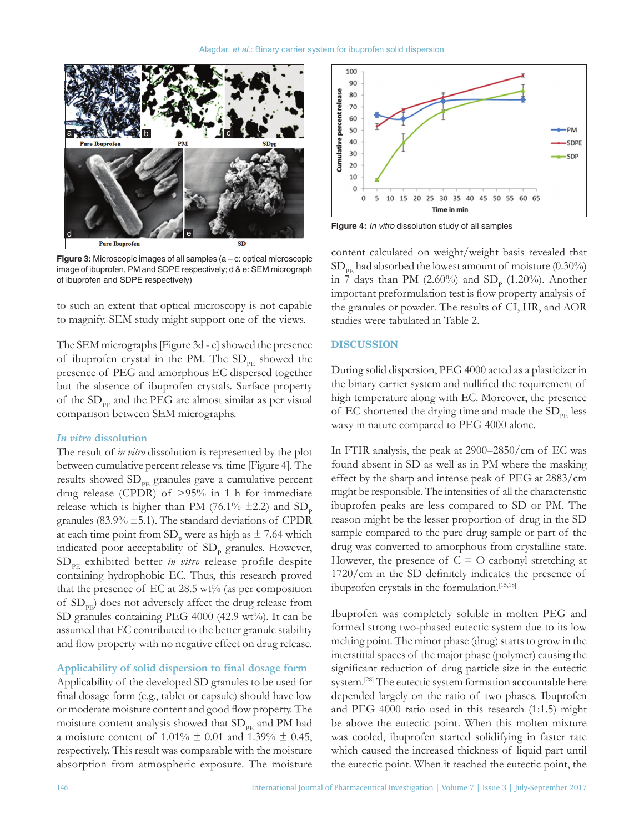

**Figure 3:** Microscopic images of all samples (a – c: optical microscopic image of ibuprofen, PM and SDPE respectively; d & e: SEM micrograph of ibuprofen and SDPE respectively)

to such an extent that optical microscopy is not capable to magnify. SEM study might support one of the views.

The SEM micrographs[Figure 3d - e] showed the presence of ibuprofen crystal in the PM. The  $SD_{PE}$  showed the presence of PEG and amorphous EC dispersed together but the absence of ibuprofen crystals. Surface property of the  $SD_{PE}$  and the PEG are almost similar as per visual comparison between SEM micrographs.

#### *In vitro* **dissolution**

The result of *in vitro* dissolution is represented by the plot between cumulative percent release vs. time [Figure 4]. The results showed  $SD_{PE}$  granules gave a cumulative percent drug release (CPDR) of >95% in 1 h for immediate release which is higher than PM (76.1%  $\pm$ 2.2) and SD<sub>p</sub> granules (83.9%  $\pm$ 5.1). The standard deviations of CPDR at each time point from  $SD<sub>p</sub>$  were as high as  $\pm$  7.64 which indicated poor acceptability of  $SD<sub>p</sub>$  granules. However, SDPE exhibited better *in vitro* release profile despite containing hydrophobic EC. Thus, this research proved that the presence of EC at 28.5 wt% (as per composition of  $SD_{\text{pr}}$ ) does not adversely affect the drug release from SD granules containing PEG 4000 (42.9 wt%). It can be assumed that EC contributed to the better granule stability and flow property with no negative effect on drug release.

## **Applicability of solid dispersion to final dosage form**

Applicability of the developed SD granules to be used for final dosage form (e.g., tablet or capsule) should have low or moderate moisture content and good flow property. The moisture content analysis showed that  $SD_{PE}$  and PM had a moisture content of 1.01%  $\pm$  0.01 and 1.39%  $\pm$  0.45, respectively. This result was comparable with the moisture absorption from atmospheric exposure. The moisture



**Figure 4:** *In vitro* dissolution study of all samples

content calculated on weight/weight basis revealed that  $SD_{PE}$  had absorbed the lowest amount of moisture (0.30%) in 7 days than PM (2.60%) and  $SD_p$  (1.20%). Another important preformulation test is flow property analysis of the granules or powder. The results of CI, HR, and AOR studies were tabulated in Table 2.

#### **DISCUSSION**

During solid dispersion, PEG 4000 acted as a plasticizer in the binary carrier system and nullified the requirement of high temperature along with EC. Moreover, the presence of EC shortened the drying time and made the  $SD_{\text{PE}}$  less waxy in nature compared to PEG 4000 alone.

In FTIR analysis, the peak at 2900–2850/cm of EC was found absent in SD as well as in PM where the masking effect by the sharp and intense peak of PEG at 2883/cm might be responsible. The intensities of all the characteristic ibuprofen peaks are less compared to SD or PM. The reason might be the lesser proportion of drug in the SD sample compared to the pure drug sample or part of the drug was converted to amorphous from crystalline state. However, the presence of  $C = O$  carbonyl stretching at 1720/cm in the SD definitely indicates the presence of ibuprofen crystals in the formulation.[15,18]

Ibuprofen was completely soluble in molten PEG and formed strong two‑phased eutectic system due to its low melting point. The minor phase (drug) starts to grow in the interstitial spaces of the major phase (polymer) causing the significant reduction of drug particle size in the eutectic system.[28] The eutectic system formation accountable here depended largely on the ratio of two phases. Ibuprofen and PEG 4000 ratio used in this research (1:1.5) might be above the eutectic point. When this molten mixture was cooled, ibuprofen started solidifying in faster rate which caused the increased thickness of liquid part until the eutectic point. When it reached the eutectic point, the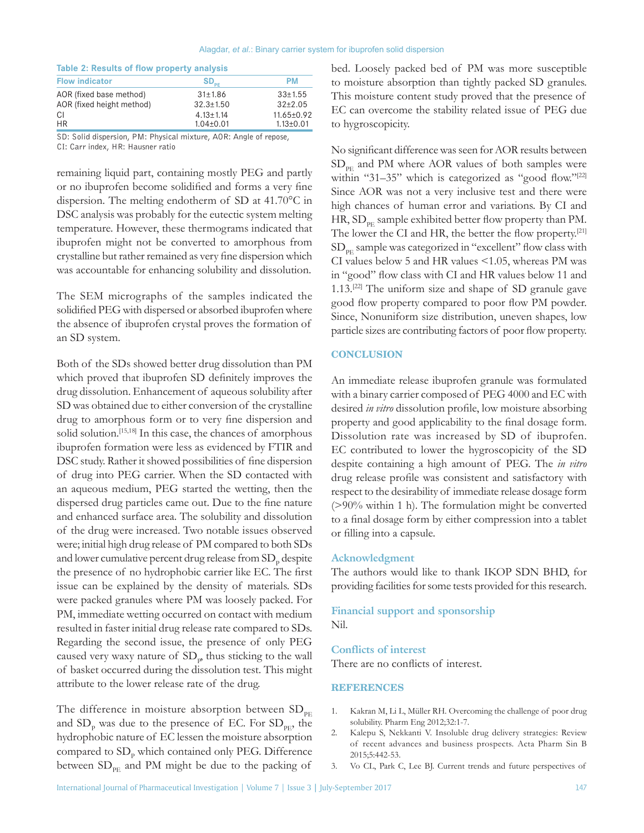| Table 2: Results of flow property analysis |                 |  |  |
|--------------------------------------------|-----------------|--|--|
| $SD_{oc}$                                  | РM              |  |  |
| 31±1.86                                    | $33 \pm 1.55$   |  |  |
| $32.3 \pm 1.50$                            | $32+2.05$       |  |  |
| $4.13 \pm 1.14$                            | 11.65±0.92      |  |  |
| $1.04 \pm 0.01$                            | $1.13 \pm 0.01$ |  |  |
|                                            |                 |  |  |

SD: Solid dispersion, PM: Physical mixture, AOR: Angle of repose, CI: Carr index, HR: Hausner ratio

remaining liquid part, containing mostly PEG and partly or no ibuprofen become solidified and forms a very fine dispersion. The melting endotherm of SD at 41.70°C in DSC analysis was probably for the eutectic system melting temperature. However, these thermograms indicated that ibuprofen might not be converted to amorphous from crystalline but rather remained as very fine dispersion which was accountable for enhancing solubility and dissolution.

The SEM micrographs of the samples indicated the solidified PEG with dispersed or absorbed ibuprofen where the absence of ibuprofen crystal proves the formation of an SD system.

Both of the SDs showed better drug dissolution than PM which proved that ibuprofen SD definitely improves the drug dissolution. Enhancement of aqueous solubility after SD was obtained due to either conversion of the crystalline drug to amorphous form or to very fine dispersion and solid solution.<sup>[15,18]</sup> In this case, the chances of amorphous ibuprofen formation were less as evidenced by FTIR and DSC study. Rather it showed possibilities of fine dispersion of drug into PEG carrier. When the SD contacted with an aqueous medium, PEG started the wetting, then the dispersed drug particles came out. Due to the fine nature and enhanced surface area. The solubility and dissolution of the drug were increased. Two notable issues observed were; initial high drug release of PM compared to both SDs and lower cumulative percent drug release from  $\mathrm{SD}_\mathrm{p}$  despite the presence of no hydrophobic carrier like EC. The first issue can be explained by the density of materials. SDs were packed granules where PM was loosely packed. For PM, immediate wetting occurred on contact with medium resulted in faster initial drug release rate compared to SDs. Regarding the second issue, the presence of only PEG caused very waxy nature of  ${\rm SD_p}$  thus sticking to the wall of basket occurred during the dissolution test. This might attribute to the lower release rate of the drug.

The difference in moisture absorption between  $SD_{\text{PE}}$ and  $SD<sub>p</sub>$  was due to the presence of EC. For  $SD<sub>PE</sub>$ , the hydrophobic nature of EC lessen the moisture absorption compared to  $SD<sub>p</sub>$  which contained only PEG. Difference between  $SD_{PE}$  and PM might be due to the packing of

bed. Loosely packed bed of PM was more susceptible to moisture absorption than tightly packed SD granules. This moisture content study proved that the presence of EC can overcome the stability related issue of PEG due to hygroscopicity.

No significant difference was seen for AOR results between  $SD_{\text{PE}}$  and PM where AOR values of both samples were within "31–35" which is categorized as "good flow."[22] Since AOR was not a very inclusive test and there were high chances of human error and variations. By CI and HR,  $SD_{\text{PE}}$  sample exhibited better flow property than PM. The lower the CI and HR, the better the flow property.<sup>[21]</sup>  $SD_{PE}$  sample was categorized in "excellent" flow class with CI values below 5 and HR values <1.05, whereas PM was in "good" flow class with CI and HR values below 11 and 1.13.[22] The uniform size and shape of SD granule gave good flow property compared to poor flow PM powder. Since, Nonuniform size distribution, uneven shapes, low particle sizes are contributing factors of poor flow property.

#### **CONCLUSION**

An immediate release ibuprofen granule was formulated with a binary carrier composed of PEG 4000 and EC with desired *in vitro* dissolution profile, low moisture absorbing property and good applicability to the final dosage form. Dissolution rate was increased by SD of ibuprofen. EC contributed to lower the hygroscopicity of the SD despite containing a high amount of PEG. The *in vitro*  drug release profile was consistent and satisfactory with respect to the desirability of immediate release dosage form (>90% within 1 h). The formulation might be converted to a final dosage form by either compression into a tablet or filling into a capsule.

#### **Acknowledgment**

The authors would like to thank IKOP SDN BHD, for providing facilities for some tests provided for this research.

## **Financial support and sponsorship** Nil.

#### **Conflicts of interest**

There are no conflicts of interest.

#### **REFERENCES**

- 1. Kakran M, Li L, Müller RH. Overcoming the challenge of poor drug solubility. Pharm Eng 2012;32:1‑7.
- 2. Kalepu S, Nekkanti V. Insoluble drug delivery strategies: Review of recent advances and business prospects. Acta Pharm Sin B 2015;5:442‑53.
- 3. Vo CL, Park C, Lee BJ. Current trends and future perspectives of